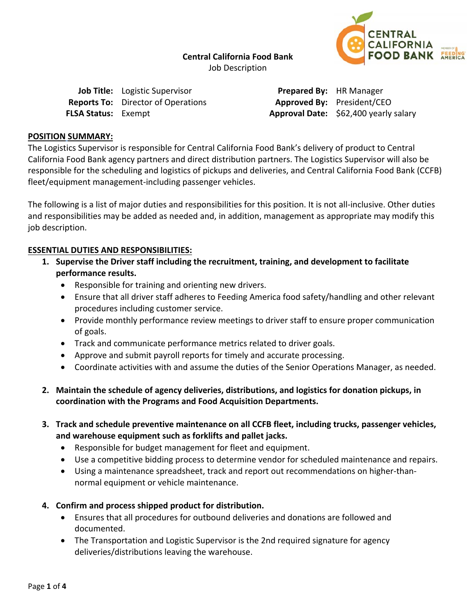**Central California Food Bank**  Job Description



|                            | <b>Job Title:</b> Logistic Supervisor     | <b>Prepared By:</b> HR Manager   |  |
|----------------------------|-------------------------------------------|----------------------------------|--|
|                            | <b>Reports To:</b> Director of Operations | <b>Approved By:</b> President/CE |  |
| <b>FLSA Status: Exempt</b> |                                           | Approval Date: \$62,400 year     |  |

 $sident/CEO$ **FLSA Status:** Exempt **Approval Date:** \$62,400 yearly salary

### **POSITION SUMMARY:**

The Logistics Supervisor is responsible for Central California Food Bank's delivery of product to Central California Food Bank agency partners and direct distribution partners. The Logistics Supervisor will also be responsible for the scheduling and logistics of pickups and deliveries, and Central California Food Bank (CCFB) fleet/equipment management-including passenger vehicles.

The following is a list of major duties and responsibilities for this position. It is not all-inclusive. Other duties and responsibilities may be added as needed and, in addition, management as appropriate may modify this job description.

## **ESSENTIAL DUTIES AND RESPONSIBILITIES:**

- **1. Supervise the Driver staff including the recruitment, training, and development to facilitate performance results.** 
	- Responsible for training and orienting new drivers.
	- Ensure that all driver staff adheres to Feeding America food safety/handling and other relevant procedures including customer service.
	- Provide monthly performance review meetings to driver staff to ensure proper communication of goals.
	- Track and communicate performance metrics related to driver goals.
	- Approve and submit payroll reports for timely and accurate processing.
	- Coordinate activities with and assume the duties of the Senior Operations Manager, as needed.
- **2. Maintain the schedule of agency deliveries, distributions, and logistics for donation pickups, in coordination with the Programs and Food Acquisition Departments.**
- **3. Track and schedule preventive maintenance on all CCFB fleet, including trucks, passenger vehicles, and warehouse equipment such as forklifts and pallet jacks.** 
	- Responsible for budget management for fleet and equipment.
	- Use a competitive bidding process to determine vendor for scheduled maintenance and repairs.
	- Using a maintenance spreadsheet, track and report out recommendations on higher-thannormal equipment or vehicle maintenance.
- **4. Confirm and process shipped product for distribution.** 
	- Ensures that all procedures for outbound deliveries and donations are followed and documented.
	- The Transportation and Logistic Supervisor is the 2nd required signature for agency deliveries/distributions leaving the warehouse.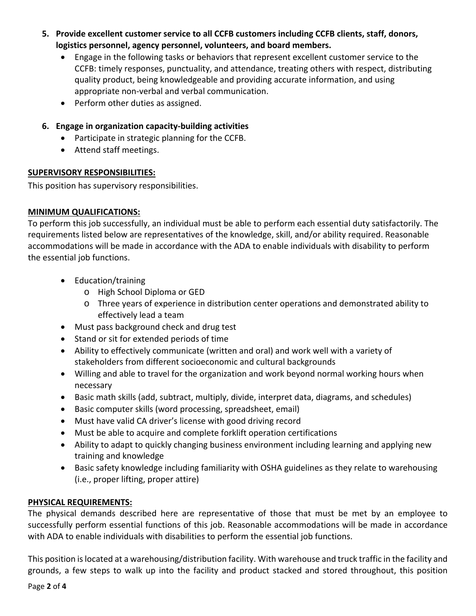- **5. Provide excellent customer service to all CCFB customers including CCFB clients, staff, donors, logistics personnel, agency personnel, volunteers, and board members.** 
	- Engage in the following tasks or behaviors that represent excellent customer service to the CCFB: timely responses, punctuality, and attendance, treating others with respect, distributing quality product, being knowledgeable and providing accurate information, and using appropriate non‐verbal and verbal communication.
	- Perform other duties as assigned.
- **6. Engage in organization capacity‐building activities** 
	- Participate in strategic planning for the CCFB.
	- Attend staff meetings.

## **SUPERVISORY RESPONSIBILITIES:**

This position has supervisory responsibilities.

# **MINIMUM QUALIFICATIONS:**

To perform this job successfully, an individual must be able to perform each essential duty satisfactorily. The requirements listed below are representatives of the knowledge, skill, and/or ability required. Reasonable accommodations will be made in accordance with the ADA to enable individuals with disability to perform the essential job functions.

- Education/training
	- o High School Diploma or GED
	- o Three years of experience in distribution center operations and demonstrated ability to effectively lead a team
- Must pass background check and drug test
- Stand or sit for extended periods of time
- Ability to effectively communicate (written and oral) and work well with a variety of stakeholders from different socioeconomic and cultural backgrounds
- Willing and able to travel for the organization and work beyond normal working hours when necessary
- Basic math skills (add, subtract, multiply, divide, interpret data, diagrams, and schedules)
- Basic computer skills (word processing, spreadsheet, email)
- Must have valid CA driver's license with good driving record
- Must be able to acquire and complete forklift operation certifications
- Ability to adapt to quickly changing business environment including learning and applying new training and knowledge
- Basic safety knowledge including familiarity with OSHA guidelines as they relate to warehousing (i.e., proper lifting, proper attire)

# **PHYSICAL REQUIREMENTS:**

The physical demands described here are representative of those that must be met by an employee to successfully perform essential functions of this job. Reasonable accommodations will be made in accordance with ADA to enable individuals with disabilities to perform the essential job functions.

This position is located at a warehousing/distribution facility. With warehouse and truck traffic in the facility and grounds, a few steps to walk up into the facility and product stacked and stored throughout, this position